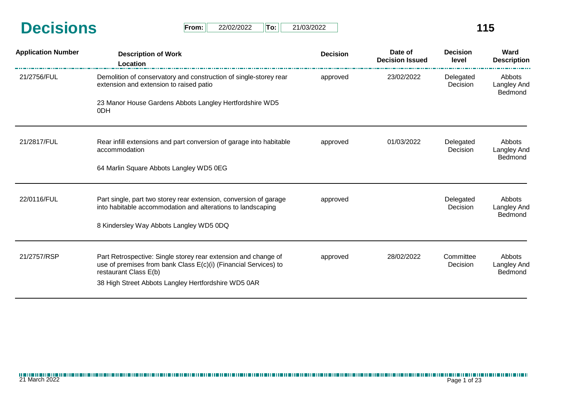| <b>Decisions</b> | From: | 22/02/2022 | Tor | 21/03/2022 | 15 |
|------------------|-------|------------|-----|------------|----|
|                  |       |            |     |            |    |

| <b>From:</b> | 22/02/2022 | ⊪To: I | 21/03/2022 |
|--------------|------------|--------|------------|
|--------------|------------|--------|------------|

| <b>Application Number</b> | <b>Description of Work</b><br>Location                                                                                                                                                                            | <b>Decision</b> | Date of<br><b>Decision Issued</b> | <b>Decision</b><br>level | Ward<br><b>Description</b>              |
|---------------------------|-------------------------------------------------------------------------------------------------------------------------------------------------------------------------------------------------------------------|-----------------|-----------------------------------|--------------------------|-----------------------------------------|
| 21/2756/FUL               | Demolition of conservatory and construction of single-storey rear<br>extension and extension to raised patio                                                                                                      | approved        | 23/02/2022                        | Delegated<br>Decision    | Abbots<br>Langley And<br>Bedmond        |
|                           | 23 Manor House Gardens Abbots Langley Hertfordshire WD5<br>0DH                                                                                                                                                    |                 |                                   |                          |                                         |
| 21/2817/FUL               | Rear infill extensions and part conversion of garage into habitable<br>accommodation                                                                                                                              | approved        | 01/03/2022                        | Delegated<br>Decision    | Abbots<br>Langley And<br>Bedmond        |
|                           | 64 Marlin Square Abbots Langley WD5 0EG                                                                                                                                                                           |                 |                                   |                          |                                         |
| 22/0116/FUL               | Part single, part two storey rear extension, conversion of garage<br>into habitable accommodation and alterations to landscaping                                                                                  | approved        |                                   | Delegated<br>Decision    | Abbots<br>Langley And<br>Bedmond        |
|                           | 8 Kindersley Way Abbots Langley WD5 0DQ                                                                                                                                                                           |                 |                                   |                          |                                         |
| 21/2757/RSP               | Part Retrospective: Single storey rear extension and change of<br>use of premises from bank Class E(c)(i) (Financial Services) to<br>restaurant Class E(b)<br>38 High Street Abbots Langley Hertfordshire WD5 0AR | approved        | 28/02/2022                        | Committee<br>Decision    | Abbots<br>Langley And<br><b>Bedmond</b> |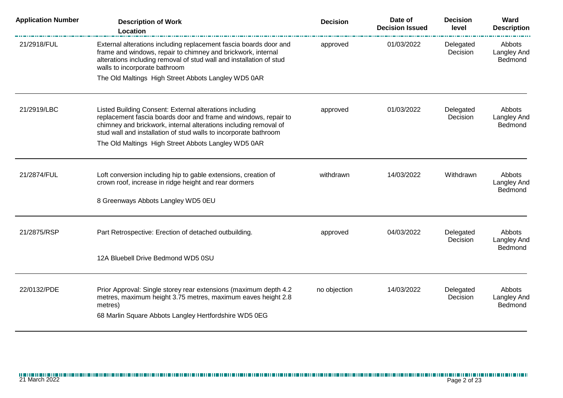| <b>Application Number</b> | <b>Description of Work</b><br>Location                                                                                                                                                                                                                             | <b>Decision</b> | Date of<br><b>Decision Issued</b> | <b>Decision</b><br>level | Ward<br><b>Description</b>              |
|---------------------------|--------------------------------------------------------------------------------------------------------------------------------------------------------------------------------------------------------------------------------------------------------------------|-----------------|-----------------------------------|--------------------------|-----------------------------------------|
| 21/2918/FUL               | External alterations including replacement fascia boards door and<br>frame and windows, repair to chimney and brickwork, internal<br>alterations including removal of stud wall and installation of stud<br>walls to incorporate bathroom                          | approved        | 01/03/2022                        | Delegated<br>Decision    | Abbots<br><b>Langley And</b><br>Bedmond |
|                           | The Old Maltings High Street Abbots Langley WD5 0AR                                                                                                                                                                                                                |                 |                                   |                          |                                         |
| 21/2919/LBC               | Listed Building Consent: External alterations including<br>replacement fascia boards door and frame and windows, repair to<br>chimney and brickwork, internal alterations including removal of<br>stud wall and installation of stud walls to incorporate bathroom | approved        | 01/03/2022                        | Delegated<br>Decision    | Abbots<br><b>Langley And</b><br>Bedmond |
|                           | The Old Maltings High Street Abbots Langley WD5 0AR                                                                                                                                                                                                                |                 |                                   |                          |                                         |
| 21/2874/FUL               | Loft conversion including hip to gable extensions, creation of<br>crown roof, increase in ridge height and rear dormers                                                                                                                                            | withdrawn       | 14/03/2022                        | Withdrawn                | Abbots<br><b>Langley And</b><br>Bedmond |
|                           | 8 Greenways Abbots Langley WD5 0EU                                                                                                                                                                                                                                 |                 |                                   |                          |                                         |
| 21/2875/RSP               | Part Retrospective: Erection of detached outbuilding.                                                                                                                                                                                                              | approved        | 04/03/2022                        | Delegated<br>Decision    | Abbots<br><b>Langley And</b><br>Bedmond |
|                           | 12A Bluebell Drive Bedmond WD5 0SU                                                                                                                                                                                                                                 |                 |                                   |                          |                                         |
| 22/0132/PDE               | Prior Approval: Single storey rear extensions (maximum depth 4.2<br>metres, maximum height 3.75 metres, maximum eaves height 2.8<br>metres)<br>68 Marlin Square Abbots Langley Hertfordshire WD5 0EG                                                               | no objection    | 14/03/2022                        | Delegated<br>Decision    | Abbots<br><b>Langley And</b><br>Bedmond |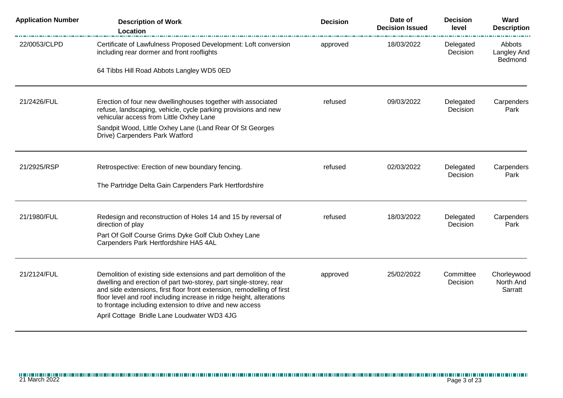| <b>Application Number</b> | <b>Description of Work</b><br>Location                                                                                                                                                                                                                                                                                                                                                              | <b>Decision</b> | Date of<br><b>Decision Issued</b> | <b>Decision</b><br>level | Ward<br><b>Description</b>              |
|---------------------------|-----------------------------------------------------------------------------------------------------------------------------------------------------------------------------------------------------------------------------------------------------------------------------------------------------------------------------------------------------------------------------------------------------|-----------------|-----------------------------------|--------------------------|-----------------------------------------|
| 22/0053/CLPD              | Certificate of Lawfulness Proposed Development: Loft conversion<br>including rear dormer and front rooflights                                                                                                                                                                                                                                                                                       | approved        | 18/03/2022                        | Delegated<br>Decision    | Abbots<br><b>Langley And</b><br>Bedmond |
|                           | 64 Tibbs Hill Road Abbots Langley WD5 0ED                                                                                                                                                                                                                                                                                                                                                           |                 |                                   |                          |                                         |
| 21/2426/FUL               | Erection of four new dwellinghouses together with associated<br>refuse, landscaping, vehicle, cycle parking provisions and new<br>vehicular access from Little Oxhey Lane                                                                                                                                                                                                                           | refused         | 09/03/2022                        | Delegated<br>Decision    | Carpenders<br>Park                      |
|                           | Sandpit Wood, Little Oxhey Lane (Land Rear Of St Georges<br>Drive) Carpenders Park Watford                                                                                                                                                                                                                                                                                                          |                 |                                   |                          |                                         |
| 21/2925/RSP               | Retrospective: Erection of new boundary fencing.                                                                                                                                                                                                                                                                                                                                                    | refused         | 02/03/2022                        | Delegated<br>Decision    | Carpenders<br>Park                      |
|                           | The Partridge Delta Gain Carpenders Park Hertfordshire                                                                                                                                                                                                                                                                                                                                              |                 |                                   |                          |                                         |
| 21/1980/FUL               | Redesign and reconstruction of Holes 14 and 15 by reversal of<br>direction of play                                                                                                                                                                                                                                                                                                                  | refused         | 18/03/2022                        | Delegated<br>Decision    | Carpenders<br>Park                      |
|                           | Part Of Golf Course Grims Dyke Golf Club Oxhey Lane<br>Carpenders Park Hertfordshire HA5 4AL                                                                                                                                                                                                                                                                                                        |                 |                                   |                          |                                         |
| 21/2124/FUL               | Demolition of existing side extensions and part demolition of the<br>dwelling and erection of part two-storey, part single-storey, rear<br>and side extensions, first floor front extension, remodelling of first<br>floor level and roof including increase in ridge height, alterations<br>to frontage including extension to drive and new access<br>April Cottage Bridle Lane Loudwater WD3 4JG | approved        | 25/02/2022                        | Committee<br>Decision    | Chorleywood<br>North And<br>Sarratt     |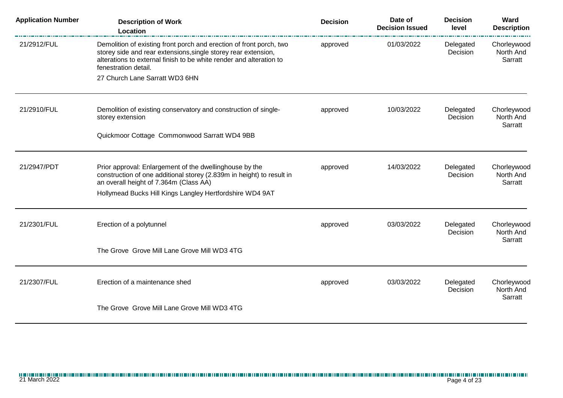| <b>Application Number</b> | <b>Description of Work</b><br>Location                                                                                                                                                                                               | <b>Decision</b>                                 | Date of<br><b>Decision Issued</b>   | <b>Decision</b><br>level            | Ward<br><b>Description</b>          |
|---------------------------|--------------------------------------------------------------------------------------------------------------------------------------------------------------------------------------------------------------------------------------|-------------------------------------------------|-------------------------------------|-------------------------------------|-------------------------------------|
| 21/2912/FUL               | Demolition of existing front porch and erection of front porch, two<br>storey side and rear extensions, single storey rear extension,<br>alterations to external finish to be white render and alteration to<br>fenestration detail. | approved                                        | 01/03/2022                          | Delegated<br>Decision               | Chorleywood<br>North And<br>Sarratt |
|                           | 27 Church Lane Sarratt WD3 6HN                                                                                                                                                                                                       |                                                 |                                     |                                     |                                     |
| 21/2910/FUL               | Demolition of existing conservatory and construction of single-<br>storey extension                                                                                                                                                  | 10/03/2022<br>Delegated<br>approved<br>Decision | Chorleywood<br>North And<br>Sarratt |                                     |                                     |
|                           | Quickmoor Cottage Commonwood Sarratt WD4 9BB                                                                                                                                                                                         |                                                 |                                     |                                     |                                     |
| 21/2947/PDT               | Prior approval: Enlargement of the dwellinghouse by the<br>construction of one additional storey (2.839m in height) to result in<br>an overall height of 7.364m (Class AA)                                                           | approved                                        | 14/03/2022                          | Delegated<br>Decision               | Chorleywood<br>North And<br>Sarratt |
|                           | Hollymead Bucks Hill Kings Langley Hertfordshire WD4 9AT                                                                                                                                                                             |                                                 |                                     |                                     |                                     |
| 21/2301/FUL               | Erection of a polytunnel                                                                                                                                                                                                             | 03/03/2022<br>approved                          | Delegated<br>Decision               | Chorleywood<br>North And<br>Sarratt |                                     |
|                           | The Grove Grove Mill Lane Grove Mill WD3 4TG                                                                                                                                                                                         |                                                 |                                     |                                     |                                     |
| 21/2307/FUL               | Erection of a maintenance shed                                                                                                                                                                                                       | approved                                        | 03/03/2022                          | Delegated<br>Decision               | Chorleywood<br>North And<br>Sarratt |
|                           | The Grove Grove Mill Lane Grove Mill WD3 4TG                                                                                                                                                                                         |                                                 |                                     |                                     |                                     |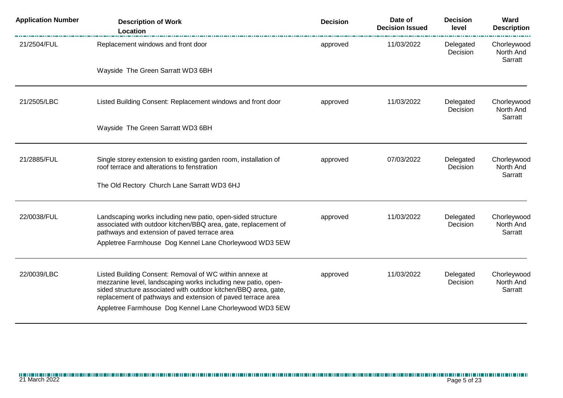| <b>Application Number</b> | <b>Description of Work</b><br>Location                                                                                                                                                                                                                                                                                | <b>Decision</b> | Date of<br><b>Decision Issued</b> | <b>Decision</b><br>level | Ward<br><b>Description</b>          |
|---------------------------|-----------------------------------------------------------------------------------------------------------------------------------------------------------------------------------------------------------------------------------------------------------------------------------------------------------------------|-----------------|-----------------------------------|--------------------------|-------------------------------------|
| 21/2504/FUL               | Replacement windows and front door                                                                                                                                                                                                                                                                                    | approved        | 11/03/2022                        | Delegated<br>Decision    | Chorleywood<br>North And<br>Sarratt |
|                           | Wayside The Green Sarratt WD3 6BH                                                                                                                                                                                                                                                                                     |                 |                                   |                          |                                     |
| 21/2505/LBC               | Listed Building Consent: Replacement windows and front door                                                                                                                                                                                                                                                           | approved        | 11/03/2022                        | Delegated<br>Decision    | Chorleywood<br>North And<br>Sarratt |
|                           | Wayside The Green Sarratt WD3 6BH                                                                                                                                                                                                                                                                                     |                 |                                   |                          |                                     |
| 21/2885/FUL               | Single storey extension to existing garden room, installation of<br>roof terrace and alterations to fenstration                                                                                                                                                                                                       | approved        | 07/03/2022                        | Delegated<br>Decision    | Chorleywood<br>North And            |
|                           | The Old Rectory Church Lane Sarratt WD3 6HJ                                                                                                                                                                                                                                                                           |                 |                                   |                          | Sarratt                             |
| 22/0038/FUL               | Landscaping works including new patio, open-sided structure<br>associated with outdoor kitchen/BBQ area, gate, replacement of                                                                                                                                                                                         | approved        | 11/03/2022                        | Delegated<br>Decision    | Chorleywood<br>North And            |
|                           | pathways and extension of paved terrace area<br>Appletree Farmhouse Dog Kennel Lane Chorleywood WD3 5EW                                                                                                                                                                                                               |                 |                                   |                          | Sarratt                             |
| 22/0039/LBC               | Listed Building Consent: Removal of WC within annexe at<br>mezzanine level, landscaping works including new patio, open-<br>sided structure associated with outdoor kitchen/BBQ area, gate,<br>replacement of pathways and extension of paved terrace area<br>Appletree Farmhouse Dog Kennel Lane Chorleywood WD3 5EW | approved        | 11/03/2022                        | Delegated<br>Decision    | Chorleywood<br>North And<br>Sarratt |
|                           |                                                                                                                                                                                                                                                                                                                       |                 |                                   |                          |                                     |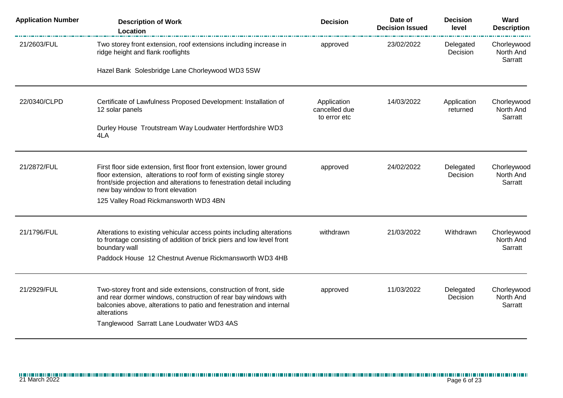| <b>Application Number</b> | <b>Description of Work</b><br>Location                                                                                                                                                                                                                      | <b>Decision</b>                              | Date of<br><b>Decision Issued</b> | <b>Decision</b><br>level | Ward<br><b>Description</b>          |
|---------------------------|-------------------------------------------------------------------------------------------------------------------------------------------------------------------------------------------------------------------------------------------------------------|----------------------------------------------|-----------------------------------|--------------------------|-------------------------------------|
| 21/2603/FUL               | Two storey front extension, roof extensions including increase in<br>ridge height and flank rooflights                                                                                                                                                      | approved                                     | 23/02/2022                        | Delegated<br>Decision    | Chorleywood<br>North And<br>Sarratt |
|                           | Hazel Bank Solesbridge Lane Chorleywood WD3 5SW                                                                                                                                                                                                             |                                              |                                   |                          |                                     |
| 22/0340/CLPD              | Certificate of Lawfulness Proposed Development: Installation of<br>12 solar panels                                                                                                                                                                          | Application<br>cancelled due<br>to error etc | 14/03/2022                        | Application<br>returned  | Chorleywood<br>North And<br>Sarratt |
|                           | Durley House Troutstream Way Loudwater Hertfordshire WD3<br>4LA                                                                                                                                                                                             |                                              |                                   |                          |                                     |
| 21/2872/FUL               | First floor side extension, first floor front extension, lower ground<br>floor extension, alterations to roof form of existing single storey<br>front/side projection and alterations to fenestration detail including<br>new bay window to front elevation | approved                                     | 24/02/2022                        | Delegated<br>Decision    | Chorleywood<br>North And<br>Sarratt |
|                           | 125 Valley Road Rickmansworth WD3 4BN                                                                                                                                                                                                                       |                                              |                                   |                          |                                     |
| 21/1796/FUL               | Alterations to existing vehicular access points including alterations<br>to frontage consisting of addition of brick piers and low level front<br>boundary wall<br>Paddock House 12 Chestnut Avenue Rickmansworth WD3 4HB                                   | withdrawn                                    | 21/03/2022                        | Withdrawn                | Chorleywood<br>North And<br>Sarratt |
|                           |                                                                                                                                                                                                                                                             |                                              |                                   |                          |                                     |
| 21/2929/FUL               | Two-storey front and side extensions, construction of front, side<br>and rear dormer windows, construction of rear bay windows with<br>balconies above, alterations to patio and fenestration and internal<br>alterations                                   | approved                                     | 11/03/2022                        | Delegated<br>Decision    | Chorleywood<br>North And<br>Sarratt |
|                           | Tanglewood Sarratt Lane Loudwater WD3 4AS                                                                                                                                                                                                                   |                                              |                                   |                          |                                     |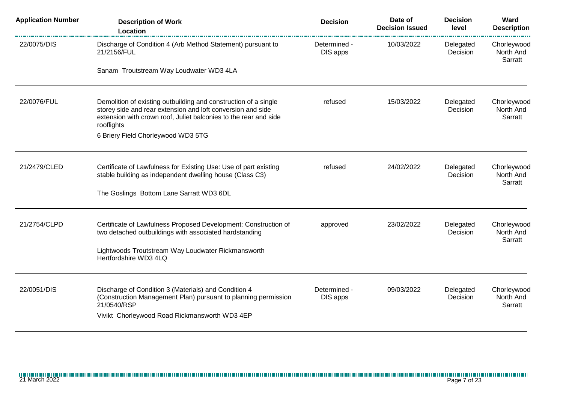| <b>Application Number</b> | <b>Description of Work</b><br>Location                                                                                                                                                                                                                 | <b>Decision</b>          | Date of<br><b>Decision Issued</b> | <b>Decision</b><br>level | Ward<br><b>Description</b>          |
|---------------------------|--------------------------------------------------------------------------------------------------------------------------------------------------------------------------------------------------------------------------------------------------------|--------------------------|-----------------------------------|--------------------------|-------------------------------------|
| 22/0075/DIS               | Discharge of Condition 4 (Arb Method Statement) pursuant to<br>21/2156/FUL                                                                                                                                                                             | Determined -<br>DIS apps | 10/03/2022                        | Delegated<br>Decision    | Chorleywood<br>North And<br>Sarratt |
|                           | Sanam Troutstream Way Loudwater WD3 4LA                                                                                                                                                                                                                |                          |                                   |                          |                                     |
| 22/0076/FUL               | Demolition of existing outbuilding and construction of a single<br>storey side and rear extension and loft conversion and side<br>extension with crown roof, Juliet balconies to the rear and side<br>rooflights<br>6 Briery Field Chorleywood WD3 5TG | refused                  | 15/03/2022                        | Delegated<br>Decision    | Chorleywood<br>North And<br>Sarratt |
|                           |                                                                                                                                                                                                                                                        |                          |                                   |                          |                                     |
| 21/2479/CLED              | Certificate of Lawfulness for Existing Use: Use of part existing<br>stable building as independent dwelling house (Class C3)                                                                                                                           | refused                  | 24/02/2022                        | Delegated<br>Decision    | Chorleywood<br>North And<br>Sarratt |
|                           | The Goslings Bottom Lane Sarratt WD3 6DL                                                                                                                                                                                                               |                          |                                   |                          |                                     |
| 21/2754/CLPD              | Certificate of Lawfulness Proposed Development: Construction of<br>two detached outbuildings with associated hardstanding                                                                                                                              | approved                 | 23/02/2022                        | Delegated<br>Decision    | Chorleywood<br>North And<br>Sarratt |
|                           | Lightwoods Troutstream Way Loudwater Rickmansworth<br>Hertfordshire WD3 4LQ                                                                                                                                                                            |                          |                                   |                          |                                     |
| 22/0051/DIS               | Discharge of Condition 3 (Materials) and Condition 4<br>(Construction Management Plan) pursuant to planning permission<br>21/0540/RSP<br>Vivikt Chorleywood Road Rickmansworth WD3 4EP                                                                 | Determined -<br>DIS apps | 09/03/2022                        | Delegated<br>Decision    | Chorleywood<br>North And<br>Sarratt |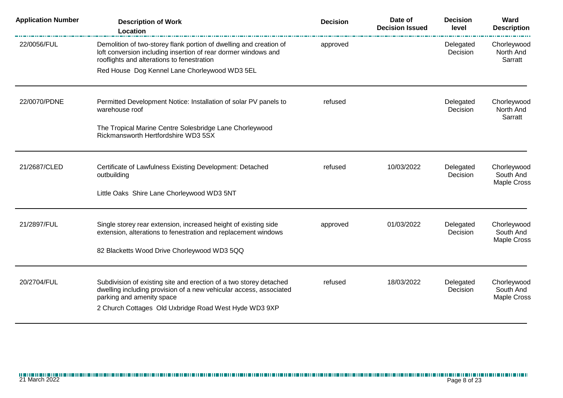| <b>Application Number</b> | <b>Description of Work</b><br><b>Location</b>                                                                                                                                      | <b>Decision</b> | Date of<br><b>Decision Issued</b> | <b>Decision</b><br>level | Ward<br><b>Description</b>          |
|---------------------------|------------------------------------------------------------------------------------------------------------------------------------------------------------------------------------|-----------------|-----------------------------------|--------------------------|-------------------------------------|
| 22/0056/FUL               | Demolition of two-storey flank portion of dwelling and creation of<br>loft conversion including insertion of rear dormer windows and<br>rooflights and alterations to fenestration | approved        |                                   | Delegated<br>Decision    | Chorleywood<br>North And<br>Sarratt |
|                           | Red House Dog Kennel Lane Chorleywood WD3 5EL                                                                                                                                      |                 |                                   |                          |                                     |
| 22/0070/PDNE              | Permitted Development Notice: Installation of solar PV panels to<br>warehouse roof                                                                                                 | refused         |                                   | Delegated<br>Decision    | Chorleywood<br>North And<br>Sarratt |
|                           | The Tropical Marine Centre Solesbridge Lane Chorleywood<br>Rickmansworth Hertfordshire WD3 5SX                                                                                     |                 |                                   |                          |                                     |
| 21/2687/CLED              | Certificate of Lawfulness Existing Development: Detached<br>outbuilding                                                                                                            | refused         | 10/03/2022                        | Delegated<br>Decision    | Chorleywood<br>South And            |
|                           | Little Oaks Shire Lane Chorleywood WD3 5NT                                                                                                                                         |                 |                                   |                          | <b>Maple Cross</b>                  |
| 21/2897/FUL               | Single storey rear extension, increased height of existing side<br>extension, alterations to fenestration and replacement windows                                                  | approved        | 01/03/2022                        | Delegated<br>Decision    | Chorleywood<br>South And            |
|                           | 82 Blacketts Wood Drive Chorleywood WD3 5QQ                                                                                                                                        |                 |                                   |                          | <b>Maple Cross</b>                  |
| 20/2704/FUL               | Subdivision of existing site and erection of a two storey detached                                                                                                                 | refused         | 18/03/2022                        | Delegated                | Chorleywood                         |
|                           | dwelling including provision of a new vehicular access, associated<br>parking and amenity space                                                                                    |                 |                                   | Decision                 | South And<br><b>Maple Cross</b>     |
|                           | 2 Church Cottages Old Uxbridge Road West Hyde WD3 9XP                                                                                                                              |                 |                                   |                          |                                     |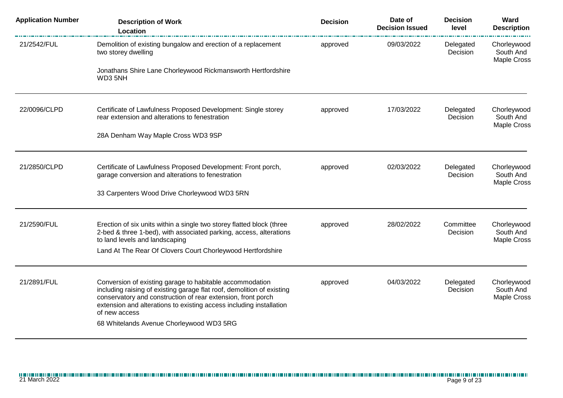| <b>Application Number</b> | <b>Description of Work</b><br><b>Location</b>                                                                                                        | <b>Decision</b>                                 | Date of<br><b>Decision Issued</b> | <b>Decision</b><br>level | Ward<br><b>Description</b>                     |
|---------------------------|------------------------------------------------------------------------------------------------------------------------------------------------------|-------------------------------------------------|-----------------------------------|--------------------------|------------------------------------------------|
| 21/2542/FUL               | Demolition of existing bungalow and erection of a replacement<br>two storey dwelling                                                                 | approved                                        | 09/03/2022                        | Delegated<br>Decision    | Chorleywood<br>South And<br><b>Maple Cross</b> |
|                           | Jonathans Shire Lane Chorleywood Rickmansworth Hertfordshire<br>WD3 5NH                                                                              |                                                 |                                   |                          |                                                |
| 22/0096/CLPD              | Certificate of Lawfulness Proposed Development: Single storey<br>rear extension and alterations to fenestration                                      | 17/03/2022<br>Delegated<br>approved<br>Decision |                                   | Chorleywood<br>South And |                                                |
|                           | 28A Denham Way Maple Cross WD3 9SP                                                                                                                   |                                                 |                                   |                          | <b>Maple Cross</b>                             |
| 21/2850/CLPD              | Certificate of Lawfulness Proposed Development: Front porch,<br>garage conversion and alterations to fenestration                                    | approved                                        | 02/03/2022                        | Delegated<br>Decision    | Chorleywood<br>South And                       |
|                           | 33 Carpenters Wood Drive Chorleywood WD3 5RN                                                                                                         |                                                 |                                   |                          | <b>Maple Cross</b>                             |
| 21/2590/FUL               | Erection of six units within a single two storey flatted block (three<br>2-bed & three 1-bed), with associated parking, access, alterations          | approved                                        | 28/02/2022                        | Committee<br>Decision    | Chorleywood<br>South And                       |
|                           | to land levels and landscaping<br>Land At The Rear Of Clovers Court Chorleywood Hertfordshire                                                        |                                                 |                                   |                          | <b>Maple Cross</b>                             |
| 21/2891/FUL               | Conversion of existing garage to habitable accommodation<br>including raising of existing garage flat roof, demolition of existing                   | approved                                        | 04/03/2022                        | Delegated<br>Decision    | Chorleywood<br>South And                       |
|                           | conservatory and construction of rear extension, front porch<br>extension and alterations to existing access including installation<br>of new access |                                                 |                                   |                          | <b>Maple Cross</b>                             |
|                           | 68 Whitelands Avenue Chorleywood WD3 5RG                                                                                                             |                                                 |                                   |                          |                                                |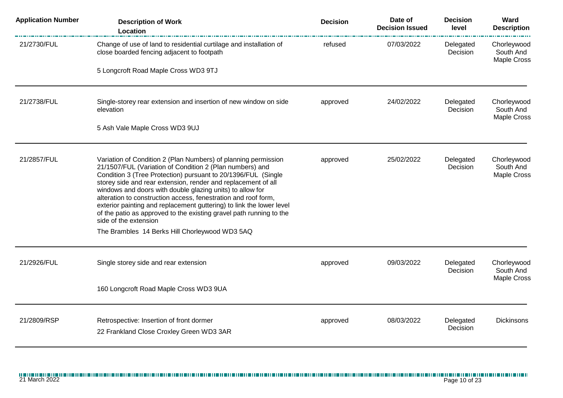| <b>Application Number</b> | <b>Description of Work</b><br>Location                                                                                                                                                                                                                                                                                                                                                                                                                                                                                                                                                                                | <b>Decision</b> | Date of<br><b>Decision Issued</b> | <b>Decision</b><br>level | Ward<br><b>Description</b>                     |
|---------------------------|-----------------------------------------------------------------------------------------------------------------------------------------------------------------------------------------------------------------------------------------------------------------------------------------------------------------------------------------------------------------------------------------------------------------------------------------------------------------------------------------------------------------------------------------------------------------------------------------------------------------------|-----------------|-----------------------------------|--------------------------|------------------------------------------------|
| 21/2730/FUL               | Change of use of land to residential curtilage and installation of<br>close boarded fencing adjacent to footpath                                                                                                                                                                                                                                                                                                                                                                                                                                                                                                      | refused         | 07/03/2022                        | Delegated<br>Decision    | Chorleywood<br>South And<br><b>Maple Cross</b> |
|                           | 5 Longcroft Road Maple Cross WD3 9TJ                                                                                                                                                                                                                                                                                                                                                                                                                                                                                                                                                                                  |                 |                                   |                          |                                                |
| 21/2738/FUL               | Single-storey rear extension and insertion of new window on side<br>elevation                                                                                                                                                                                                                                                                                                                                                                                                                                                                                                                                         | approved        | 24/02/2022                        | Delegated<br>Decision    | Chorleywood<br>South And<br><b>Maple Cross</b> |
|                           | 5 Ash Vale Maple Cross WD3 9UJ                                                                                                                                                                                                                                                                                                                                                                                                                                                                                                                                                                                        |                 |                                   |                          |                                                |
| 21/2857/FUL               | Variation of Condition 2 (Plan Numbers) of planning permission<br>21/1507/FUL (Variation of Condition 2 (Plan numbers) and<br>Condition 3 (Tree Protection) pursuant to 20/1396/FUL (Single<br>storey side and rear extension, render and replacement of all<br>windows and doors with double glazing units) to allow for<br>alteration to construction access, fenestration and roof form,<br>exterior painting and replacement guttering) to link the lower level<br>of the patio as approved to the existing gravel path running to the<br>side of the extension<br>The Brambles 14 Berks Hill Chorleywood WD3 5AQ | approved        | 25/02/2022                        | Delegated<br>Decision    | Chorleywood<br>South And<br><b>Maple Cross</b> |
| 21/2926/FUL               | Single storey side and rear extension                                                                                                                                                                                                                                                                                                                                                                                                                                                                                                                                                                                 | approved        | 09/03/2022                        | Delegated<br>Decision    | Chorleywood<br>South And<br><b>Maple Cross</b> |
|                           | 160 Longcroft Road Maple Cross WD3 9UA                                                                                                                                                                                                                                                                                                                                                                                                                                                                                                                                                                                |                 |                                   |                          |                                                |
| 21/2809/RSP               | Retrospective: Insertion of front dormer<br>22 Frankland Close Croxley Green WD3 3AR                                                                                                                                                                                                                                                                                                                                                                                                                                                                                                                                  | approved        | 08/03/2022                        | Delegated<br>Decision    | <b>Dickinsons</b>                              |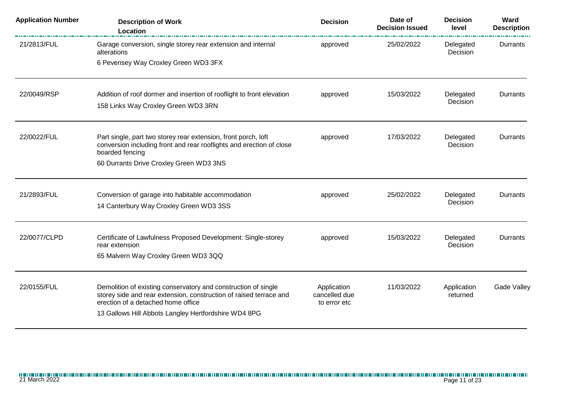| <b>Application Number</b> | <b>Description of Work</b><br>Location                                                                   | <b>Decision</b>               | Date of<br><b>Decision Issued</b> | <b>Decision</b><br>level | Ward<br><b>Description</b> |
|---------------------------|----------------------------------------------------------------------------------------------------------|-------------------------------|-----------------------------------|--------------------------|----------------------------|
| 21/2813/FUL               | Garage conversion, single storey rear extension and internal<br>alterations                              | approved                      | 25/02/2022                        | Delegated<br>Decision    | Durrants                   |
|                           | 6 Pevensey Way Croxley Green WD3 3FX                                                                     |                               |                                   |                          |                            |
| 22/0049/RSP               | Addition of roof dormer and insertion of rooflight to front elevation                                    | approved                      | 15/03/2022                        | Delegated                | Durrants                   |
|                           | 158 Links Way Croxley Green WD3 3RN                                                                      |                               |                                   | Decision                 |                            |
| 22/0022/FUL               | Part single, part two storey rear extension, front porch, loft                                           | approved                      | 17/03/2022                        | Delegated                | Durrants                   |
|                           | conversion including front and rear rooflights and erection of close<br>boarded fencing                  |                               |                                   | Decision                 |                            |
|                           | 60 Durrants Drive Croxley Green WD3 3NS                                                                  |                               |                                   |                          |                            |
| 21/2893/FUL               | Conversion of garage into habitable accommodation                                                        | approved                      | 25/02/2022                        | Delegated                | Durrants                   |
|                           | 14 Canterbury Way Croxley Green WD3 3SS                                                                  |                               |                                   | Decision                 |                            |
| 22/0077/CLPD              | Certificate of Lawfulness Proposed Development: Single-storey                                            | approved                      | 15/03/2022                        | Delegated                | Durrants                   |
|                           | rear extension                                                                                           |                               |                                   | Decision                 |                            |
|                           | 65 Malvern Way Croxley Green WD3 3QQ                                                                     |                               |                                   |                          |                            |
| 22/0155/FUL               | Demolition of existing conservatory and construction of single                                           | Application                   | 11/03/2022                        | Application              | <b>Gade Valley</b>         |
|                           | storey side and rear extension, construction of raised terrace and<br>erection of a detached home office | cancelled due<br>to error etc |                                   | returned                 |                            |
|                           | 13 Gallows Hill Abbots Langley Hertfordshire WD4 8PG                                                     |                               |                                   |                          |                            |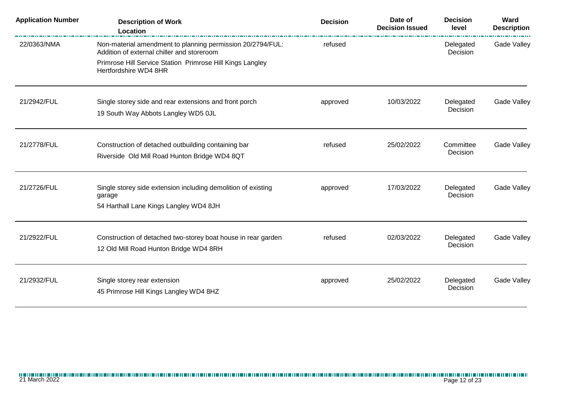| <b>Application Number</b> | <b>Description of Work</b><br><b>Location</b>                                                            | <b>Decision</b> | Date of<br><b>Decision Issued</b> | <b>Decision</b><br>level | Ward<br><b>Description</b> |
|---------------------------|----------------------------------------------------------------------------------------------------------|-----------------|-----------------------------------|--------------------------|----------------------------|
| 22/0363/NMA               | Non-material amendment to planning permission 20/2794/FUL:<br>Addition of external chiller and storeroom | refused         |                                   | Delegated<br>Decision    | Gade Valley                |
|                           | Primrose Hill Service Station Primrose Hill Kings Langley<br>Hertfordshire WD4 8HR                       |                 |                                   |                          |                            |
| 21/2942/FUL               | Single storey side and rear extensions and front porch                                                   | approved        | 10/03/2022                        | Delegated<br>Decision    | Gade Valley                |
|                           | 19 South Way Abbots Langley WD5 0JL                                                                      |                 |                                   |                          |                            |
| 21/2778/FUL               | Construction of detached outbuilding containing bar<br>Riverside Old Mill Road Hunton Bridge WD4 8QT     | refused         | 25/02/2022                        | Committee<br>Decision    | Gade Valley                |
|                           |                                                                                                          |                 |                                   |                          |                            |
| 21/2726/FUL               | Single storey side extension including demolition of existing<br>garage                                  | approved        | 17/03/2022                        | Delegated<br>Decision    | Gade Valley                |
|                           | 54 Harthall Lane Kings Langley WD4 8JH                                                                   |                 |                                   |                          |                            |
| 21/2922/FUL               | Construction of detached two-storey boat house in rear garden                                            | refused         | 02/03/2022                        | Delegated<br>Decision    | Gade Valley                |
|                           | 12 Old Mill Road Hunton Bridge WD4 8RH                                                                   |                 |                                   |                          |                            |
| 21/2932/FUL               | Single storey rear extension                                                                             | approved        | 25/02/2022                        | Delegated<br>Decision    | Gade Valley                |
|                           | 45 Primrose Hill Kings Langley WD4 8HZ                                                                   |                 |                                   |                          |                            |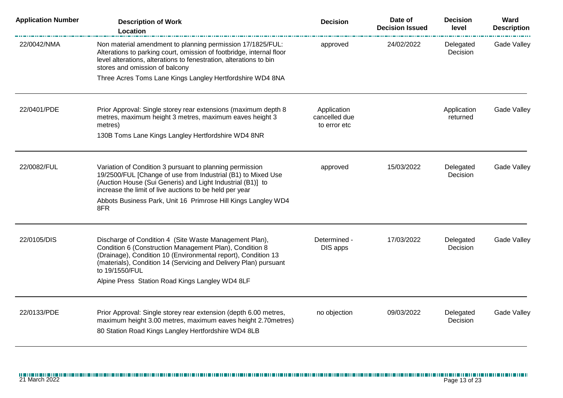| <b>Application Number</b> | <b>Description of Work</b><br>Location                                                                                                                                                                                                                                   | <b>Decision</b>                              | Date of<br><b>Decision Issued</b> | <b>Decision</b><br>level | Ward<br><b>Description</b> |
|---------------------------|--------------------------------------------------------------------------------------------------------------------------------------------------------------------------------------------------------------------------------------------------------------------------|----------------------------------------------|-----------------------------------|--------------------------|----------------------------|
| 22/0042/NMA               | Non material amendment to planning permission 17/1825/FUL:<br>Alterations to parking court, omission of footbridge, internal floor<br>level alterations, alterations to fenestration, alterations to bin<br>stores and omission of balcony                               | approved                                     | 24/02/2022                        | Delegated<br>Decision    | Gade Valley                |
|                           | Three Acres Toms Lane Kings Langley Hertfordshire WD4 8NA                                                                                                                                                                                                                |                                              |                                   |                          |                            |
| 22/0401/PDE               | Prior Approval: Single storey rear extensions (maximum depth 8<br>metres, maximum height 3 metres, maximum eaves height 3<br>metres)<br>130B Toms Lane Kings Langley Hertfordshire WD4 8NR                                                                               | Application<br>cancelled due<br>to error etc |                                   | Application<br>returned  | Gade Valley                |
|                           |                                                                                                                                                                                                                                                                          |                                              |                                   |                          |                            |
| 22/0082/FUL               | Variation of Condition 3 pursuant to planning permission<br>19/2500/FUL [Change of use from Industrial (B1) to Mixed Use<br>(Auction House (Sui Generis) and Light Industrial (B1)] to<br>increase the limit of live auctions to be held per year                        | approved                                     | 15/03/2022                        | Delegated<br>Decision    | Gade Valley                |
|                           | Abbots Business Park, Unit 16 Primrose Hill Kings Langley WD4<br>8FR                                                                                                                                                                                                     |                                              |                                   |                          |                            |
| 22/0105/DIS               | Discharge of Condition 4 (Site Waste Management Plan),<br>Condition 6 (Construction Management Plan), Condition 8<br>(Drainage), Condition 10 (Environmental report), Condition 13<br>(materials), Condition 14 (Servicing and Delivery Plan) pursuant<br>to 19/1550/FUL | Determined -<br>DIS apps                     | 17/03/2022                        | Delegated<br>Decision    | Gade Valley                |
|                           | Alpine Press Station Road Kings Langley WD4 8LF                                                                                                                                                                                                                          |                                              |                                   |                          |                            |
| 22/0133/PDE               | Prior Approval: Single storey rear extension (depth 6.00 metres,<br>maximum height 3.00 metres, maximum eaves height 2.70 metres)<br>80 Station Road Kings Langley Hertfordshire WD4 8LB                                                                                 | no objection                                 | 09/03/2022                        | Delegated<br>Decision    | Gade Valley                |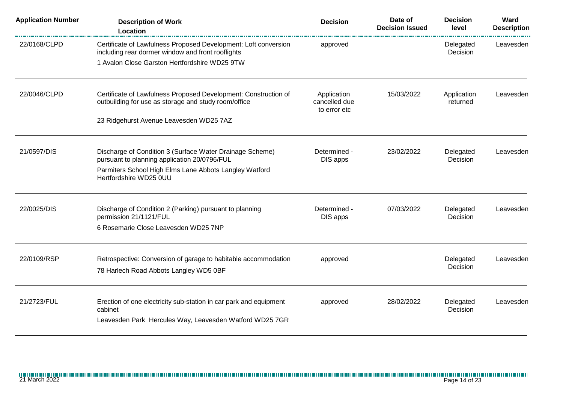| <b>Application Number</b> | <b>Description of Work</b><br>Location                                                                                  | <b>Decision</b>                              | Date of<br><b>Decision Issued</b> | <b>Decision</b><br>level | Ward<br><b>Description</b> |
|---------------------------|-------------------------------------------------------------------------------------------------------------------------|----------------------------------------------|-----------------------------------|--------------------------|----------------------------|
| 22/0168/CLPD              | Certificate of Lawfulness Proposed Development: Loft conversion<br>including rear dormer window and front rooflights    | approved                                     |                                   | Delegated<br>Decision    | Leavesden                  |
|                           | 1 Avalon Close Garston Hertfordshire WD25 9TW                                                                           |                                              |                                   |                          |                            |
| 22/0046/CLPD              | Certificate of Lawfulness Proposed Development: Construction of<br>outbuilding for use as storage and study room/office | Application<br>cancelled due<br>to error etc | 15/03/2022                        | Application<br>returned  | Leavesden                  |
|                           | 23 Ridgehurst Avenue Leavesden WD25 7AZ                                                                                 |                                              |                                   |                          |                            |
| 21/0597/DIS               | Discharge of Condition 3 (Surface Water Drainage Scheme)<br>pursuant to planning application 20/0796/FUL                | Determined -<br>DIS apps                     | 23/02/2022                        | Delegated<br>Decision    | Leavesden                  |
|                           | Parmiters School High Elms Lane Abbots Langley Watford<br>Hertfordshire WD25 0UU                                        |                                              |                                   |                          |                            |
| 22/0025/DIS               | Discharge of Condition 2 (Parking) pursuant to planning<br>permission 21/1121/FUL                                       | Determined -<br>DIS apps                     | 07/03/2022                        | Delegated<br>Decision    | Leavesden                  |
|                           | 6 Rosemarie Close Leavesden WD25 7NP                                                                                    |                                              |                                   |                          |                            |
| 22/0109/RSP               | Retrospective: Conversion of garage to habitable accommodation                                                          | approved                                     |                                   | Delegated                | Leavesden                  |
|                           | 78 Harlech Road Abbots Langley WD5 0BF                                                                                  |                                              |                                   | Decision                 |                            |
| 21/2723/FUL               | Erection of one electricity sub-station in car park and equipment<br>cabinet                                            | approved                                     | 28/02/2022                        | Delegated<br>Decision    | Leavesden                  |
|                           | Leavesden Park Hercules Way, Leavesden Watford WD25 7GR                                                                 |                                              |                                   |                          |                            |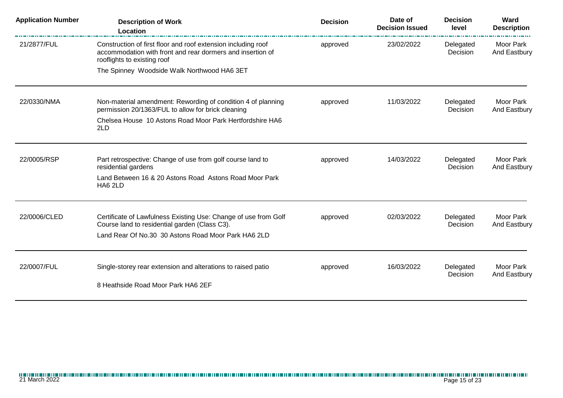| <b>Application Number</b> | <b>Description of Work</b><br>Location                                                                                                                     | <b>Decision</b> | Date of<br><b>Decision Issued</b> | <b>Decision</b><br>level | Ward<br><b>Description</b> |
|---------------------------|------------------------------------------------------------------------------------------------------------------------------------------------------------|-----------------|-----------------------------------|--------------------------|----------------------------|
| 21/2877/FUL               | Construction of first floor and roof extension including roof<br>accommodation with front and rear dormers and insertion of<br>rooflights to existing roof | approved        | 23/02/2022                        | Delegated<br>Decision    | Moor Park<br>And Eastbury  |
|                           | The Spinney Woodside Walk Northwood HA6 3ET                                                                                                                |                 |                                   |                          |                            |
| 22/0330/NMA               | Non-material amendment: Rewording of condition 4 of planning<br>permission 20/1363/FUL to allow for brick cleaning                                         | approved        | 11/03/2022                        | Delegated<br>Decision    | Moor Park<br>And Eastbury  |
|                           | Chelsea House 10 Astons Road Moor Park Hertfordshire HA6<br>2LD                                                                                            |                 |                                   |                          |                            |
| 22/0005/RSP               | Part retrospective: Change of use from golf course land to<br>residential gardens                                                                          | approved        | 14/03/2022                        | Delegated<br>Decision    | Moor Park<br>And Eastbury  |
|                           | Land Between 16 & 20 Astons Road Astons Road Moor Park<br>HA6 2LD                                                                                          |                 |                                   |                          |                            |
| 22/0006/CLED              | Certificate of Lawfulness Existing Use: Change of use from Golf<br>Course land to residential garden (Class C3).                                           | approved        | 02/03/2022                        | Delegated<br>Decision    | Moor Park<br>And Eastbury  |
|                           | Land Rear Of No.30 30 Astons Road Moor Park HA6 2LD                                                                                                        |                 |                                   |                          |                            |
| 22/0007/FUL               | Single-storey rear extension and alterations to raised patio                                                                                               | approved        | 16/03/2022                        | Delegated                | Moor Park                  |
|                           | 8 Heathside Road Moor Park HA6 2EF                                                                                                                         |                 |                                   | Decision                 | And Eastbury               |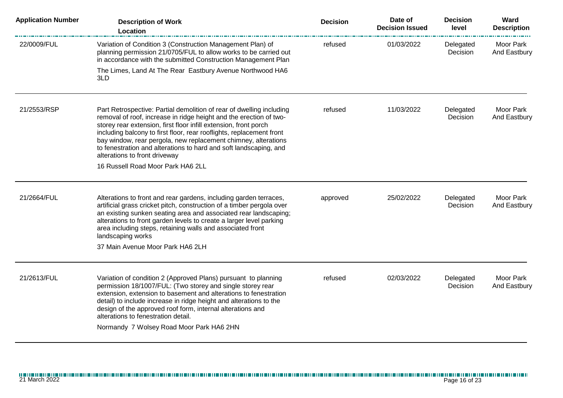| <b>Application Number</b> | <b>Description of Work</b><br><b>Location</b>                                                                                                                                                                                                                                                                                                                                                                                                                                                       | <b>Decision</b> | Date of<br><b>Decision Issued</b> | <b>Decision</b><br>level | Ward<br><b>Description</b> |
|---------------------------|-----------------------------------------------------------------------------------------------------------------------------------------------------------------------------------------------------------------------------------------------------------------------------------------------------------------------------------------------------------------------------------------------------------------------------------------------------------------------------------------------------|-----------------|-----------------------------------|--------------------------|----------------------------|
| 22/0009/FUL               | Variation of Condition 3 (Construction Management Plan) of<br>planning permission 21/0705/FUL to allow works to be carried out<br>in accordance with the submitted Construction Management Plan                                                                                                                                                                                                                                                                                                     | refused         | 01/03/2022                        | Delegated<br>Decision    | Moor Park<br>And Eastbury  |
|                           | The Limes, Land At The Rear Eastbury Avenue Northwood HA6<br>3LD                                                                                                                                                                                                                                                                                                                                                                                                                                    |                 |                                   |                          |                            |
| 21/2553/RSP               | Part Retrospective: Partial demolition of rear of dwelling including<br>removal of roof, increase in ridge height and the erection of two-<br>storey rear extension, first floor infill extension, front porch<br>including balcony to first floor, rear rooflights, replacement front<br>bay window, rear pergola, new replacement chimney, alterations<br>to fenestration and alterations to hard and soft landscaping, and<br>alterations to front driveway<br>16 Russell Road Moor Park HA6 2LL | refused         | 11/03/2022                        | Delegated<br>Decision    | Moor Park<br>And Eastbury  |
| 21/2664/FUL               | Alterations to front and rear gardens, including garden terraces,<br>artificial grass cricket pitch, construction of a timber pergola over<br>an existing sunken seating area and associated rear landscaping;<br>alterations to front garden levels to create a larger level parking<br>area including steps, retaining walls and associated front<br>landscaping works<br>37 Main Avenue Moor Park HA6 2LH                                                                                        | approved        | 25/02/2022                        | Delegated<br>Decision    | Moor Park<br>And Eastbury  |
| 21/2613/FUL               | Variation of condition 2 (Approved Plans) pursuant to planning<br>permission 18/1007/FUL: (Two storey and single storey rear<br>extension, extension to basement and alterations to fenestration<br>detail) to include increase in ridge height and alterations to the<br>design of the approved roof form, internal alterations and<br>alterations to fenestration detail.<br>Normandy 7 Wolsey Road Moor Park HA6 2HN                                                                             | refused         | 02/03/2022                        | Delegated<br>Decision    | Moor Park<br>And Eastbury  |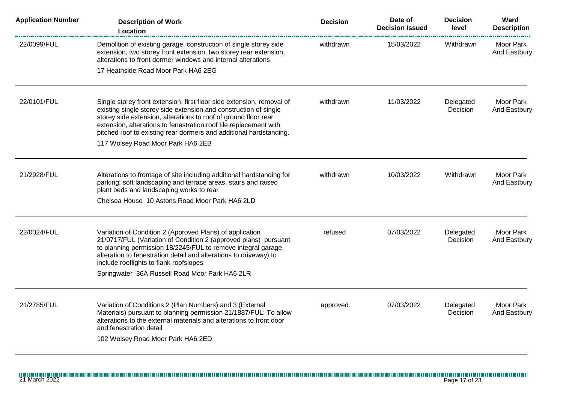| <b>Application Number</b> | <b>Description of Work</b><br>Location                                                                                                                                                                                                                                                                                                                   | <b>Decision</b> | Date of<br><b>Decision Issued</b> | <b>Decision</b><br>level | Ward<br><b>Description</b> |
|---------------------------|----------------------------------------------------------------------------------------------------------------------------------------------------------------------------------------------------------------------------------------------------------------------------------------------------------------------------------------------------------|-----------------|-----------------------------------|--------------------------|----------------------------|
| 22/0099/FUL               | Demolition of existing garage, construction of single storey side<br>extension, two storey front extension, two storey rear extension,<br>alterations to front dormer windows and internal alterations.                                                                                                                                                  | withdrawn       | 15/03/2022                        | Withdrawn                | Moor Park<br>And Eastbury  |
|                           | 17 Heathside Road Moor Park HA6 2EG                                                                                                                                                                                                                                                                                                                      |                 |                                   |                          |                            |
| 22/0101/FUL               | Single storey front extension, first floor side extension, removal of<br>existing single storey side extension and construction of single<br>storey side extension, alterations to roof of ground floor rear<br>extension, alterations to fenestration, roof tile replacement with<br>pitched roof to existing rear dormers and additional hardstanding. | withdrawn       | 11/03/2022                        | Delegated<br>Decision    | Moor Park<br>And Eastbury  |
|                           | 117 Wolsey Road Moor Park HA6 2EB                                                                                                                                                                                                                                                                                                                        |                 |                                   |                          |                            |
| 21/2928/FUL               | Alterations to frontage of site including additional hardstanding for<br>parking; soft landscaping and terrace areas, stairs and raised<br>plant beds and landscaping works to rear                                                                                                                                                                      | withdrawn       | 10/03/2022                        | Withdrawn                | Moor Park<br>And Eastbury  |
|                           | Chelsea House 10 Astons Road Moor Park HA6 2LD                                                                                                                                                                                                                                                                                                           |                 |                                   |                          |                            |
| 22/0024/FUL               | Variation of Condition 2 (Approved Plans) of application<br>21/0717/FUL (Variation of Condition 2 (approved plans) pursuant<br>to planning permission 18/2245/FUL to remove integral garage,<br>alteration to fenestration detail and alterations to driveway) to<br>include rooflights to flank roofslopes                                              | refused         | 07/03/2022                        | Delegated<br>Decision    | Moor Park<br>And Eastbury  |
|                           | Springwater 36A Russell Road Moor Park HA6 2LR                                                                                                                                                                                                                                                                                                           |                 |                                   |                          |                            |
| 21/2785/FUL               | Variation of Conditions 2 (Plan Numbers) and 3 (External<br>Materials) pursuant to planning permission 21/1887/FUL: To allow<br>alterations to the external materials and alterations to front door<br>and fenestration detail<br>102 Wolsey Road Moor Park HA6 2ED                                                                                      | approved        | 07/03/2022                        | Delegated<br>Decision    | Moor Park<br>And Eastbury  |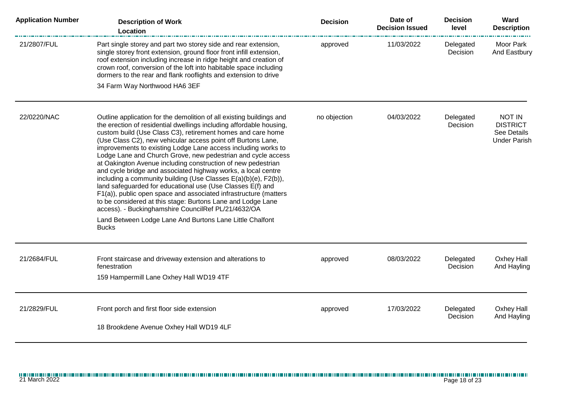| <b>Application Number</b> | <b>Description of Work</b><br>Location                                                                                                                                                                                                                                                                                                                                                                                                                                                                                                                                                                                                                                                                                                                                                                                                                                                                                                              | <b>Decision</b> | Date of<br><b>Decision Issued</b> | <b>Decision</b><br>level | Ward<br><b>Description</b>                                             |
|---------------------------|-----------------------------------------------------------------------------------------------------------------------------------------------------------------------------------------------------------------------------------------------------------------------------------------------------------------------------------------------------------------------------------------------------------------------------------------------------------------------------------------------------------------------------------------------------------------------------------------------------------------------------------------------------------------------------------------------------------------------------------------------------------------------------------------------------------------------------------------------------------------------------------------------------------------------------------------------------|-----------------|-----------------------------------|--------------------------|------------------------------------------------------------------------|
| 21/2807/FUL               | Part single storey and part two storey side and rear extension,<br>single storey front extension, ground floor front infill extension,<br>roof extension including increase in ridge height and creation of<br>crown roof, conversion of the loft into habitable space including<br>dormers to the rear and flank rooflights and extension to drive                                                                                                                                                                                                                                                                                                                                                                                                                                                                                                                                                                                                 | approved        | 11/03/2022                        | Delegated<br>Decision    | Moor Park<br>And Eastbury                                              |
|                           | 34 Farm Way Northwood HA6 3EF                                                                                                                                                                                                                                                                                                                                                                                                                                                                                                                                                                                                                                                                                                                                                                                                                                                                                                                       |                 |                                   |                          |                                                                        |
| 22/0220/NAC               | Outline application for the demolition of all existing buildings and<br>the erection of residential dwellings including affordable housing,<br>custom build (Use Class C3), retirement homes and care home<br>(Use Class C2), new vehicular access point off Burtons Lane,<br>improvements to existing Lodge Lane access including works to<br>Lodge Lane and Church Grove, new pedestrian and cycle access<br>at Oakington Avenue including construction of new pedestrian<br>and cycle bridge and associated highway works, a local centre<br>including a community building (Use Classes E(a)(b)(e), F2(b)),<br>land safeguarded for educational use (Use Classes E(f) and<br>F1(a)), public open space and associated infrastructure (matters<br>to be considered at this stage: Burtons Lane and Lodge Lane<br>access). - Buckinghamshire CouncilRef PL/21/4632/OA<br>Land Between Lodge Lane And Burtons Lane Little Chalfont<br><b>Bucks</b> | no objection    | 04/03/2022                        | Delegated<br>Decision    | <b>NOT IN</b><br><b>DISTRICT</b><br>See Details<br><b>Under Parish</b> |
| 21/2684/FUL               | Front staircase and driveway extension and alterations to<br>fenestration<br>159 Hampermill Lane Oxhey Hall WD19 4TF                                                                                                                                                                                                                                                                                                                                                                                                                                                                                                                                                                                                                                                                                                                                                                                                                                | approved        | 08/03/2022                        | Delegated<br>Decision    | Oxhey Hall<br>And Hayling                                              |
| 21/2829/FUL               | Front porch and first floor side extension<br>18 Brookdene Avenue Oxhey Hall WD19 4LF                                                                                                                                                                                                                                                                                                                                                                                                                                                                                                                                                                                                                                                                                                                                                                                                                                                               | approved        | 17/03/2022                        | Delegated<br>Decision    | Oxhey Hall<br>And Hayling                                              |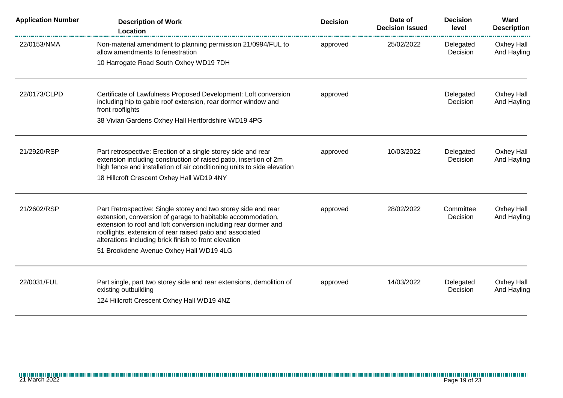| <b>Application Number</b> | <b>Description of Work</b><br>Location                                                                                                                                                                                                                                                                                                                            | <b>Decision</b> | Date of<br><b>Decision Issued</b> | <b>Decision</b><br>level | Ward<br><b>Description</b> |
|---------------------------|-------------------------------------------------------------------------------------------------------------------------------------------------------------------------------------------------------------------------------------------------------------------------------------------------------------------------------------------------------------------|-----------------|-----------------------------------|--------------------------|----------------------------|
| 22/0153/NMA               | Non-material amendment to planning permission 21/0994/FUL to<br>allow amendments to fenestration                                                                                                                                                                                                                                                                  | approved        | 25/02/2022                        | Delegated<br>Decision    | Oxhey Hall<br>And Hayling  |
|                           | 10 Harrogate Road South Oxhey WD19 7DH                                                                                                                                                                                                                                                                                                                            |                 |                                   |                          |                            |
| 22/0173/CLPD              | Certificate of Lawfulness Proposed Development: Loft conversion<br>including hip to gable roof extension, rear dormer window and<br>front rooflights                                                                                                                                                                                                              | approved        |                                   | Delegated<br>Decision    | Oxhey Hall<br>And Hayling  |
|                           | 38 Vivian Gardens Oxhey Hall Hertfordshire WD19 4PG                                                                                                                                                                                                                                                                                                               |                 |                                   |                          |                            |
| 21/2920/RSP               | Part retrospective: Erection of a single storey side and rear<br>extension including construction of raised patio, insertion of 2m<br>high fence and installation of air conditioning units to side elevation<br>18 Hillcroft Crescent Oxhey Hall WD19 4NY                                                                                                        | approved        | 10/03/2022                        | Delegated<br>Decision    | Oxhey Hall<br>And Hayling  |
| 21/2602/RSP               | Part Retrospective: Single storey and two storey side and rear<br>extension, conversion of garage to habitable accommodation,<br>extension to roof and loft conversion including rear dormer and<br>rooflights, extension of rear raised patio and associated<br>alterations including brick finish to front elevation<br>51 Brookdene Avenue Oxhey Hall WD19 4LG | approved        | 28/02/2022                        | Committee<br>Decision    | Oxhey Hall<br>And Hayling  |
| 22/0031/FUL               | Part single, part two storey side and rear extensions, demolition of<br>existing outbuilding<br>124 Hillcroft Crescent Oxhey Hall WD19 4NZ                                                                                                                                                                                                                        | approved        | 14/03/2022                        | Delegated<br>Decision    | Oxhey Hall<br>And Hayling  |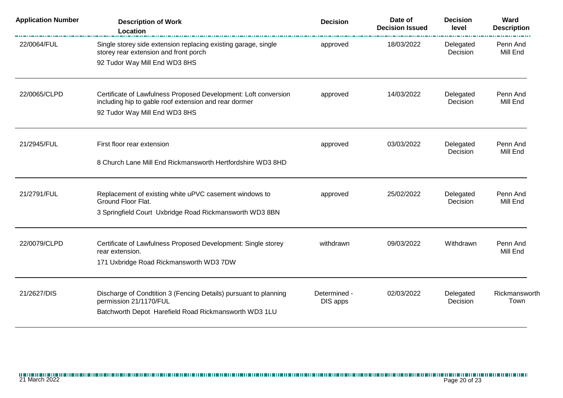| <b>Application Number</b> | <b>Description of Work</b><br>Location                                                                                                              | <b>Decision</b>          | Date of<br><b>Decision Issued</b> | <b>Decision</b><br>level | Ward<br><b>Description</b> |
|---------------------------|-----------------------------------------------------------------------------------------------------------------------------------------------------|--------------------------|-----------------------------------|--------------------------|----------------------------|
| 22/0064/FUL               | Single storey side extension replacing existing garage, single<br>storey rear extension and front porch                                             | approved                 | 18/03/2022                        | Delegated<br>Decision    | Penn And<br>Mill End       |
|                           | 92 Tudor Way Mill End WD3 8HS                                                                                                                       |                          |                                   |                          |                            |
| 22/0065/CLPD              | Certificate of Lawfulness Proposed Development: Loft conversion<br>including hip to gable roof extension and rear dormer                            | approved                 | 14/03/2022                        | Delegated<br>Decision    | Penn And<br>Mill End       |
|                           | 92 Tudor Way Mill End WD3 8HS                                                                                                                       |                          |                                   |                          |                            |
| 21/2945/FUL               | First floor rear extension                                                                                                                          | approved                 | 03/03/2022                        | Delegated                | Penn And                   |
|                           | 8 Church Lane Mill End Rickmansworth Hertfordshire WD3 8HD                                                                                          |                          |                                   | Decision                 | Mill End                   |
| 21/2791/FUL               | Replacement of existing white uPVC casement windows to<br>Ground Floor Flat.                                                                        | approved                 | 25/02/2022                        | Delegated<br>Decision    | Penn And<br>Mill End       |
|                           | 3 Springfield Court Uxbridge Road Rickmansworth WD3 8BN                                                                                             |                          |                                   |                          |                            |
| 22/0079/CLPD              | Certificate of Lawfulness Proposed Development: Single storey<br>rear extension.                                                                    | withdrawn                | 09/03/2022                        | Withdrawn                | Penn And<br>Mill End       |
|                           | 171 Uxbridge Road Rickmansworth WD3 7DW                                                                                                             |                          |                                   |                          |                            |
| 21/2627/DIS               | Discharge of Condtition 3 (Fencing Details) pursuant to planning<br>permission 21/1170/FUL<br>Batchworth Depot Harefield Road Rickmansworth WD3 1LU | Determined -<br>DIS apps | 02/03/2022                        | Delegated<br>Decision    | Rickmansworth<br>Town      |
|                           |                                                                                                                                                     |                          |                                   |                          |                            |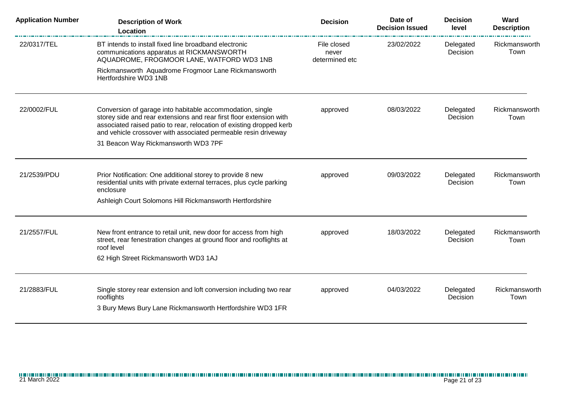| <b>Application Number</b> | <b>Description of Work</b><br><b>Location</b>                                                                                                                                                                                                                              | <b>Decision</b>                        | Date of<br><b>Decision Issued</b> | <b>Decision</b><br>level | Ward<br><b>Description</b> |
|---------------------------|----------------------------------------------------------------------------------------------------------------------------------------------------------------------------------------------------------------------------------------------------------------------------|----------------------------------------|-----------------------------------|--------------------------|----------------------------|
| 22/0317/TEL               | BT intends to install fixed line broadband electronic<br>communications apparatus at RICKMANSWORTH<br>AQUADROME, FROGMOOR LANE, WATFORD WD3 1NB                                                                                                                            | File closed<br>never<br>determined etc | 23/02/2022                        | Delegated<br>Decision    | Rickmansworth<br>Town      |
|                           | Rickmansworth Aquadrome Frogmoor Lane Rickmansworth<br>Hertfordshire WD3 1NB                                                                                                                                                                                               |                                        |                                   |                          |                            |
| 22/0002/FUL               | Conversion of garage into habitable accommodation, single<br>storey side and rear extensions and rear first floor extension with<br>associated raised patio to rear, relocation of existing dropped kerb<br>and vehicle crossover with associated permeable resin driveway | approved                               | 08/03/2022                        | Delegated<br>Decision    | Rickmansworth<br>Town      |
|                           | 31 Beacon Way Rickmansworth WD3 7PF                                                                                                                                                                                                                                        |                                        |                                   |                          |                            |
| 21/2539/PDU               | Prior Notification: One additional storey to provide 8 new<br>residential units with private external terraces, plus cycle parking<br>enclosure                                                                                                                            | approved                               | 09/03/2022                        | Delegated<br>Decision    | Rickmansworth<br>Town      |
|                           | Ashleigh Court Solomons Hill Rickmansworth Hertfordshire                                                                                                                                                                                                                   |                                        |                                   |                          |                            |
| 21/2557/FUL               | New front entrance to retail unit, new door for access from high<br>street, rear fenestration changes at ground floor and rooflights at<br>roof level                                                                                                                      | approved                               | 18/03/2022                        | Delegated<br>Decision    | Rickmansworth<br>Town      |
|                           | 62 High Street Rickmansworth WD3 1AJ                                                                                                                                                                                                                                       |                                        |                                   |                          |                            |
| 21/2883/FUL               | Single storey rear extension and loft conversion including two rear<br>rooflights                                                                                                                                                                                          | approved                               | 04/03/2022                        | Delegated<br>Decision    | Rickmansworth<br>Town      |
|                           | 3 Bury Mews Bury Lane Rickmansworth Hertfordshire WD3 1FR                                                                                                                                                                                                                  |                                        |                                   |                          |                            |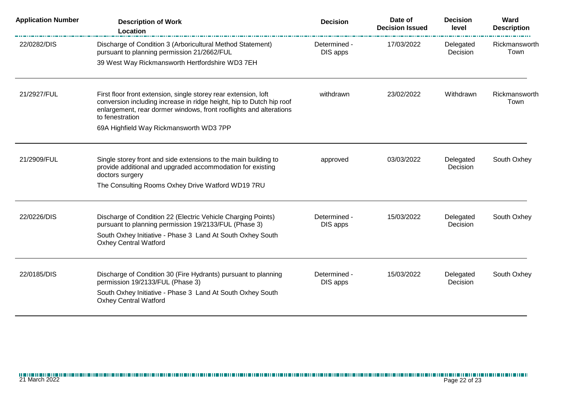| <b>Application Number</b> | <b>Description of Work</b><br><b>Location</b>                                                                                                                                                                                    | <b>Decision</b>          | Date of<br><b>Decision Issued</b> | <b>Decision</b><br>level | Ward<br><b>Description</b> |
|---------------------------|----------------------------------------------------------------------------------------------------------------------------------------------------------------------------------------------------------------------------------|--------------------------|-----------------------------------|--------------------------|----------------------------|
| 22/0282/DIS               | Discharge of Condition 3 (Arboricultural Method Statement)<br>pursuant to planning permission 21/2662/FUL                                                                                                                        | Determined -<br>DIS apps | 17/03/2022                        | Delegated<br>Decision    | Rickmansworth<br>Town      |
|                           | 39 West Way Rickmansworth Hertfordshire WD3 7EH                                                                                                                                                                                  |                          |                                   |                          |                            |
| 21/2927/FUL               | First floor front extension, single storey rear extension, loft<br>conversion including increase in ridge height, hip to Dutch hip roof<br>enlargement, rear dormer windows, front rooflights and alterations<br>to fenestration | withdrawn                | 23/02/2022                        | Withdrawn                | Rickmansworth<br>Town      |
|                           | 69A Highfield Way Rickmansworth WD3 7PP                                                                                                                                                                                          |                          |                                   |                          |                            |
| 21/2909/FUL               | Single storey front and side extensions to the main building to<br>provide additional and upgraded accommodation for existing<br>doctors surgery                                                                                 | approved                 | 03/03/2022                        | Delegated<br>Decision    | South Oxhey                |
|                           | The Consulting Rooms Oxhey Drive Watford WD19 7RU                                                                                                                                                                                |                          |                                   |                          |                            |
| 22/0226/DIS               | Discharge of Condition 22 (Electric Vehicle Charging Points)<br>pursuant to planning permission 19/2133/FUL (Phase 3)<br>South Oxhey Initiative - Phase 3 Land At South Oxhey South                                              | Determined -<br>DIS apps | 15/03/2022                        | Delegated<br>Decision    | South Oxhey                |
|                           | <b>Oxhey Central Watford</b>                                                                                                                                                                                                     |                          |                                   |                          |                            |
| 22/0185/DIS               | Discharge of Condition 30 (Fire Hydrants) pursuant to planning<br>permission 19/2133/FUL (Phase 3)<br>South Oxhey Initiative - Phase 3 Land At South Oxhey South<br><b>Oxhey Central Watford</b>                                 | Determined -<br>DIS apps | 15/03/2022                        | Delegated<br>Decision    | South Oxhey                |